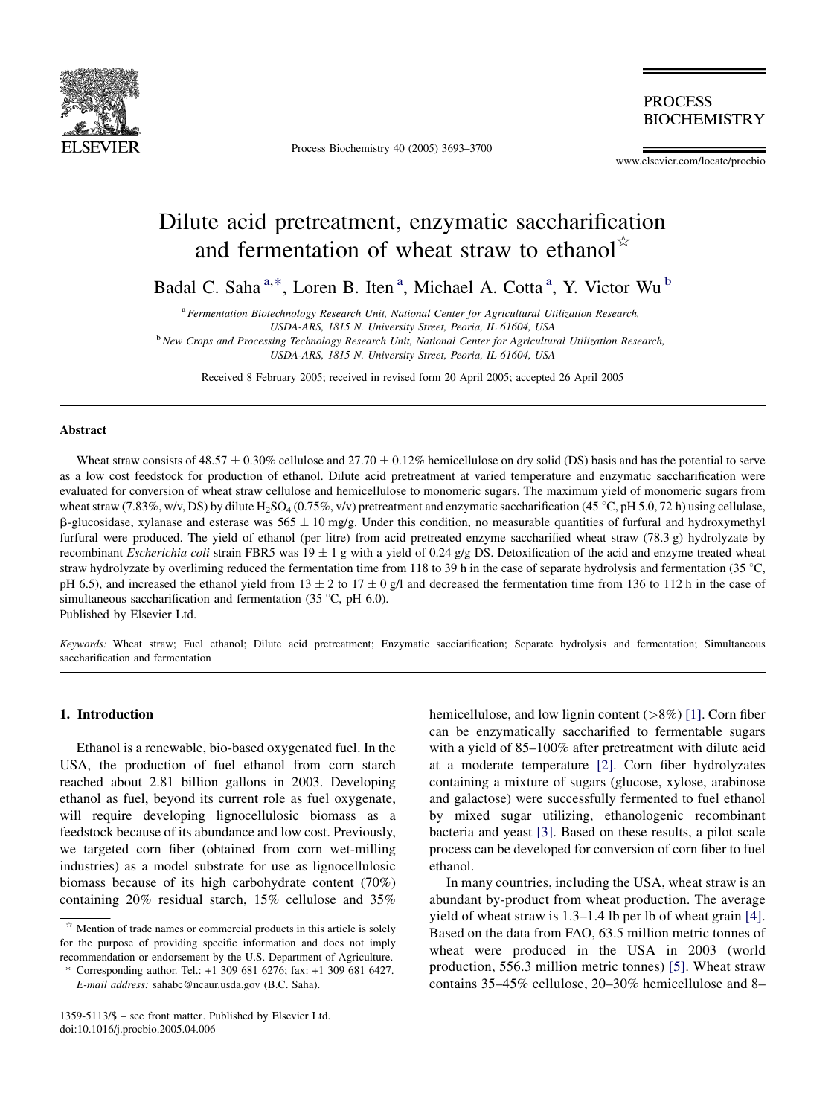

Process Biochemistry 40 (2005) 3693–3700

**PROCESS BIOCHEMISTRY** 

www.elsevier.com/locate/procbio

# Dilute acid pretreatment, enzymatic saccharification and fermentation of wheat straw to ethanol $\phi$

Badal C. Saha<sup>a,\*</sup>, Loren B. Iten<sup>a</sup>, Michael A. Cotta<sup>a</sup>, Y. Victor Wu<sup>b</sup>

<sup>a</sup> Fermentation Biotechnology Research Unit, National Center for Agricultural Utilization Research,

USDA-ARS, 1815 N. University Street, Peoria, IL 61604, USA

<sup>b</sup> New Crops and Processing Technology Research Unit, National Center for Agricultural Utilization Research, USDA-ARS, 1815 N. University Street, Peoria, IL 61604, USA

Received 8 February 2005; received in revised form 20 April 2005; accepted 26 April 2005

#### Abstract

Wheat straw consists of 48.57  $\pm$  0.30% cellulose and 27.70  $\pm$  0.12% hemicellulose on dry solid (DS) basis and has the potential to serve as a low cost feedstock for production of ethanol. Dilute acid pretreatment at varied temperature and enzymatic saccharification were evaluated for conversion of wheat straw cellulose and hemicellulose to monomeric sugars. The maximum yield of monomeric sugars from wheat straw (7.83%, w/v, DS) by dilute H<sub>2</sub>SO<sub>4</sub> (0.75%, v/v) pretreatment and enzymatic saccharification (45 °C, pH 5.0, 72 h) using cellulase,  $\beta$ -glucosidase, xylanase and esterase was 565  $\pm$  10 mg/g. Under this condition, no measurable quantities of furfural and hydroxymethyl furfural were produced. The yield of ethanol (per litre) from acid pretreated enzyme saccharified wheat straw (78.3 g) hydrolyzate by recombinant *Escherichia coli* strain FBR5 was  $19 \pm 1$  g with a yield of 0.24 g/g DS. Detoxification of the acid and enzyme treated wheat straw hydrolyzate by overliming reduced the fermentation time from 118 to 39 h in the case of separate hydrolysis and fermentation (35 °C, pH 6.5), and increased the ethanol yield from  $13 \pm 2$  to  $17 \pm 0$  g/l and decreased the fermentation time from 136 to 112 h in the case of simultaneous saccharification and fermentation (35 $\degree$ C, pH 6.0).

Published by Elsevier Ltd.

Keywords: Wheat straw; Fuel ethanol; Dilute acid pretreatment; Enzymatic sacciarification; Separate hydrolysis and fermentation; Simultaneous saccharification and fermentation

## 1. Introduction

Ethanol is a renewable, bio-based oxygenated fuel. In the USA, the production of fuel ethanol from corn starch reached about 2.81 billion gallons in 2003. Developing ethanol as fuel, beyond its current role as fuel oxygenate, will require developing lignocellulosic biomass as a feedstock because of its abundance and low cost. Previously, we targeted corn fiber (obtained from corn wet-milling industries) as a model substrate for use as lignocellulosic biomass because of its high carbohydrate content (70%) containing 20% residual starch, 15% cellulose and 35%

hemicellulose, and low lignin content (>8%) [\[1\]](#page-7-0). Corn fiber can be enzymatically saccharified to fermentable sugars with a yield of 85–100% after pretreatment with dilute acid at a moderate temperature [\[2\]](#page-7-0). Corn fiber hydrolyzates containing a mixture of sugars (glucose, xylose, arabinose and galactose) were successfully fermented to fuel ethanol by mixed sugar utilizing, ethanologenic recombinant bacteria and yeast [\[3\].](#page-7-0) Based on these results, a pilot scale process can be developed for conversion of corn fiber to fuel ethanol.

In many countries, including the USA, wheat straw is an abundant by-product from wheat production. The average yield of wheat straw is 1.3–1.4 lb per lb of wheat grain [\[4\]](#page-7-0). Based on the data from FAO, 63.5 million metric tonnes of wheat were produced in the USA in 2003 (world production, 556.3 million metric tonnes) [\[5\].](#page-7-0) Wheat straw contains 35–45% cellulose, 20–30% hemicellulose and 8–

<sup>§</sup> Mention of trade names or commercial products in this article is solely for the purpose of providing specific information and does not imply recommendation or endorsement by the U.S. Department of Agriculture.

<sup>\*</sup> Corresponding author. Tel.: +1 309 681 6276; fax: +1 309 681 6427. E-mail address: sahabc@ncaur.usda.gov (B.C. Saha).

<sup>1359-5113/\$ –</sup> see front matter. Published by Elsevier Ltd. doi:10.1016/j.procbio.2005.04.006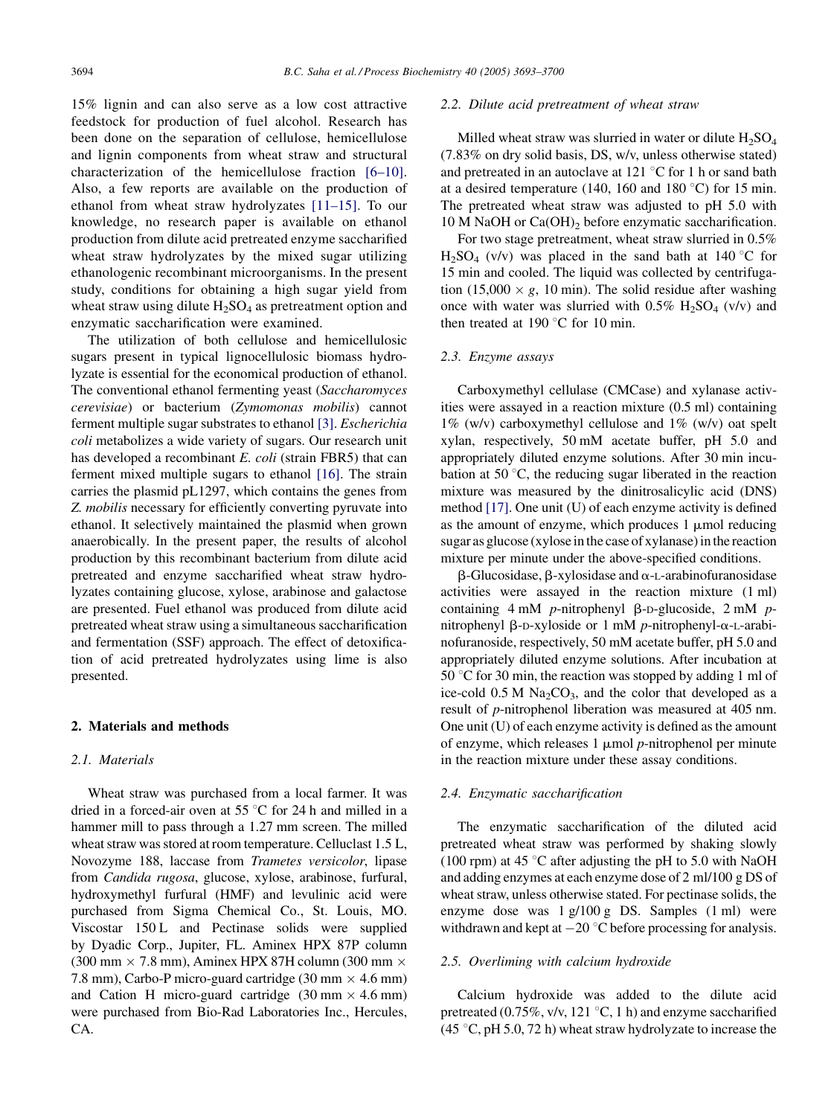15% lignin and can also serve as a low cost attractive feedstock for production of fuel alcohol. Research has been done on the separation of cellulose, hemicellulose and lignin components from wheat straw and structural characterization of the hemicellulose fraction [\[6–10\]](#page-7-0). Also, a few reports are available on the production of ethanol from wheat straw hydrolyzates [\[11–15\]](#page-7-0). To our knowledge, no research paper is available on ethanol production from dilute acid pretreated enzyme saccharified wheat straw hydrolyzates by the mixed sugar utilizing ethanologenic recombinant microorganisms. In the present study, conditions for obtaining a high sugar yield from wheat straw using dilute  $H_2SO_4$  as pretreatment option and enzymatic saccharification were examined.

The utilization of both cellulose and hemicellulosic sugars present in typical lignocellulosic biomass hydrolyzate is essential for the economical production of ethanol. The conventional ethanol fermenting yeast (Saccharomyces cerevisiae) or bacterium (Zymomonas mobilis) cannot ferment multiple sugar substrates to ethanol [\[3\].](#page-7-0) Escherichia coli metabolizes a wide variety of sugars. Our research unit has developed a recombinant E. coli (strain FBR5) that can ferment mixed multiple sugars to ethanol [\[16\].](#page-7-0) The strain carries the plasmid pL1297, which contains the genes from Z. mobilis necessary for efficiently converting pyruvate into ethanol. It selectively maintained the plasmid when grown anaerobically. In the present paper, the results of alcohol production by this recombinant bacterium from dilute acid pretreated and enzyme saccharified wheat straw hydrolyzates containing glucose, xylose, arabinose and galactose are presented. Fuel ethanol was produced from dilute acid pretreated wheat straw using a simultaneous saccharification and fermentation (SSF) approach. The effect of detoxification of acid pretreated hydrolyzates using lime is also presented.

#### 2. Materials and methods

## 2.1. Materials

Wheat straw was purchased from a local farmer. It was dried in a forced-air oven at 55  $\degree$ C for 24 h and milled in a hammer mill to pass through a 1.27 mm screen. The milled wheat straw was stored at room temperature. Celluclast 1.5 L, Novozyme 188, laccase from Trametes versicolor, lipase from Candida rugosa, glucose, xylose, arabinose, furfural, hydroxymethyl furfural (HMF) and levulinic acid were purchased from Sigma Chemical Co., St. Louis, MO. Viscostar 150 L and Pectinase solids were supplied by Dyadic Corp., Jupiter, FL. Aminex HPX 87P column  $(300 \text{ mm} \times 7.8 \text{ mm})$ , Aminex HPX 87H column  $(300 \text{ mm} \times 10^{-10} \text{ mm})$ 7.8 mm), Carbo-P micro-guard cartridge  $(30 \text{ mm} \times 4.6 \text{ mm})$ and Cation H micro-guard cartridge  $(30 \text{ mm} \times 4.6 \text{ mm})$ were purchased from Bio-Rad Laboratories Inc., Hercules, CA.

#### 2.2. Dilute acid pretreatment of wheat straw

Milled wheat straw was slurried in water or dilute  $H_2SO_4$ (7.83% on dry solid basis, DS, w/v, unless otherwise stated) and pretreated in an autoclave at 121  $\degree$ C for 1 h or sand bath at a desired temperature (140, 160 and 180  $\degree$ C) for 15 min. The pretreated wheat straw was adjusted to pH 5.0 with 10 M NaOH or  $Ca(OH)_2$  before enzymatic saccharification.

For two stage pretreatment, wheat straw slurried in 0.5%  $H_2SO_4$  (v/v) was placed in the sand bath at 140 °C for 15 min and cooled. The liquid was collected by centrifugation (15,000  $\times$  g, 10 min). The solid residue after washing once with water was slurried with  $0.5\%$  H<sub>2</sub>SO<sub>4</sub> (v/v) and then treated at 190 $\degree$ C for 10 min.

## 2.3. Enzyme assays

Carboxymethyl cellulase (CMCase) and xylanase activities were assayed in a reaction mixture (0.5 ml) containing 1% (w/v) carboxymethyl cellulose and 1% (w/v) oat spelt xylan, respectively, 50 mM acetate buffer, pH 5.0 and appropriately diluted enzyme solutions. After 30 min incubation at 50 $\degree$ C, the reducing sugar liberated in the reaction mixture was measured by the dinitrosalicylic acid (DNS) method [\[17\].](#page-7-0) One unit (U) of each enzyme activity is defined as the amount of enzyme, which produces  $1 \mu$ mol reducing sugar as glucose (xylose in the case of xylanase) in the reaction mixture per minute under the above-specified conditions.

 $\beta$ -Glucosidase,  $\beta$ -xylosidase and  $\alpha$ -L-arabinofuranosidase activities were assayed in the reaction mixture (1 ml) containing  $4 \text{ mM}$  p-nitrophenyl  $\beta$ -D-glucoside,  $2 \text{ mM}$  pnitrophenyl  $\beta$ -D-xyloside or 1 mM p-nitrophenyl- $\alpha$ -L-arabinofuranoside, respectively, 50 mM acetate buffer, pH 5.0 and appropriately diluted enzyme solutions. After incubation at 50 °C for 30 min, the reaction was stopped by adding 1 ml of ice-cold  $0.5 M Na<sub>2</sub>CO<sub>3</sub>$ , and the color that developed as a result of p-nitrophenol liberation was measured at 405 nm. One unit (U) of each enzyme activity is defined as the amount of enzyme, which releases  $1 \mu$ mol *p*-nitrophenol per minute in the reaction mixture under these assay conditions.

## 2.4. Enzymatic saccharification

The enzymatic saccharification of the diluted acid pretreated wheat straw was performed by shaking slowly (100 rpm) at 45  $\degree$ C after adjusting the pH to 5.0 with NaOH and adding enzymes at each enzyme dose of 2 ml/100 g DS of wheat straw, unless otherwise stated. For pectinase solids, the enzyme dose was 1 g/100 g DS. Samples (1 ml) were withdrawn and kept at  $-20$  °C before processing for analysis.

#### 2.5. Overliming with calcium hydroxide

Calcium hydroxide was added to the dilute acid pretreated (0.75%, v/v, 121 $\degree$ C, 1 h) and enzyme saccharified (45  $\degree$ C, pH 5.0, 72 h) wheat straw hydrolyzate to increase the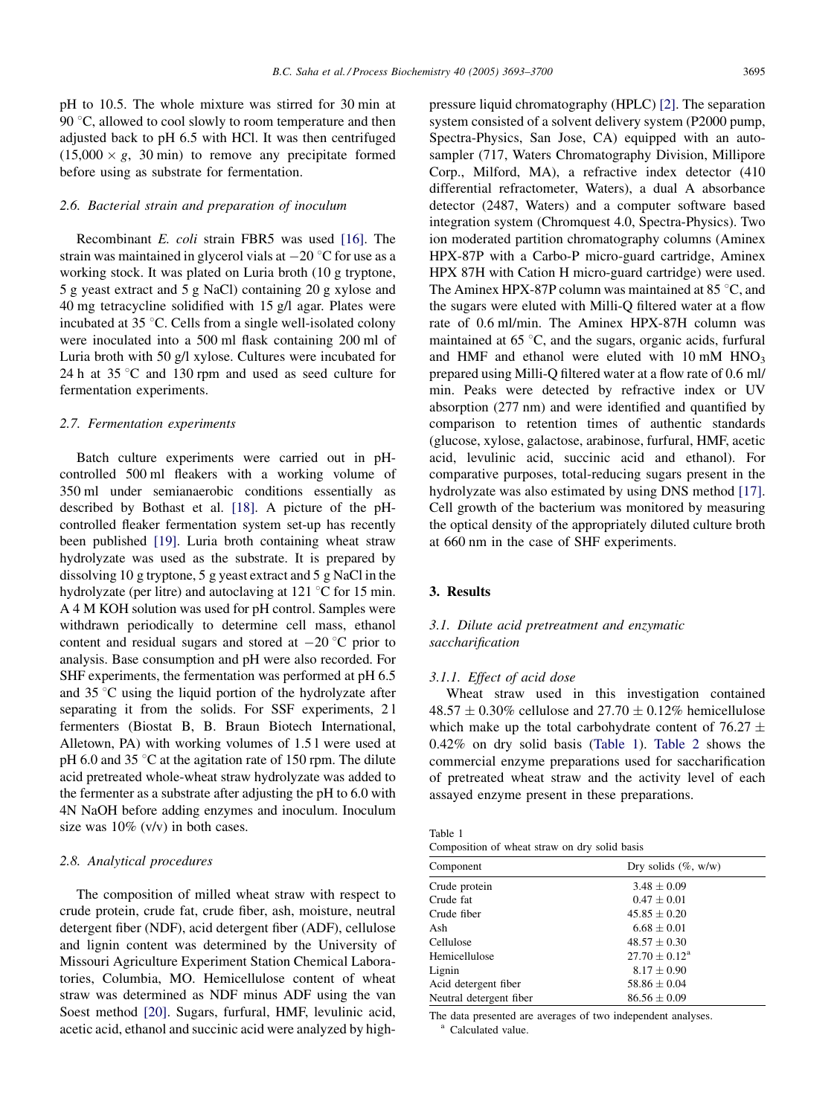pH to 10.5. The whole mixture was stirred for 30 min at 90  $\degree$ C, allowed to cool slowly to room temperature and then adjusted back to pH 6.5 with HCl. It was then centrifuged  $(15,000 \times g, 30 \text{ min})$  to remove any precipitate formed before using as substrate for fermentation.

## 2.6. Bacterial strain and preparation of inoculum

Recombinant E. coli strain FBR5 was used [\[16\]](#page-7-0). The strain was maintained in glycerol vials at  $-20$  °C for use as a working stock. It was plated on Luria broth (10 g tryptone, 5 g yeast extract and 5 g NaCl) containing 20 g xylose and 40 mg tetracycline solidified with 15 g/l agar. Plates were incubated at  $35^{\circ}$ C. Cells from a single well-isolated colony were inoculated into a 500 ml flask containing 200 ml of Luria broth with 50 g/l xylose. Cultures were incubated for 24 h at  $35^{\circ}$ C and 130 rpm and used as seed culture for fermentation experiments.

#### 2.7. Fermentation experiments

Batch culture experiments were carried out in pHcontrolled 500 ml fleakers with a working volume of 350 ml under semianaerobic conditions essentially as described by Bothast et al. [\[18\]](#page-7-0). A picture of the pHcontrolled fleaker fermentation system set-up has recently been published [\[19\].](#page-7-0) Luria broth containing wheat straw hydrolyzate was used as the substrate. It is prepared by dissolving 10 g tryptone, 5 g yeast extract and 5 g NaCl in the hydrolyzate (per litre) and autoclaving at 121  $\degree$ C for 15 min. A 4 M KOH solution was used for pH control. Samples were withdrawn periodically to determine cell mass, ethanol content and residual sugars and stored at  $-20$  °C prior to analysis. Base consumption and pH were also recorded. For SHF experiments, the fermentation was performed at pH 6.5 and  $35^{\circ}$ C using the liquid portion of the hydrolyzate after separating it from the solids. For SSF experiments, 2 l fermenters (Biostat B, B. Braun Biotech International, Alletown, PA) with working volumes of 1.5 l were used at pH 6.0 and 35  $\degree$ C at the agitation rate of 150 rpm. The dilute acid pretreated whole-wheat straw hydrolyzate was added to the fermenter as a substrate after adjusting the pH to 6.0 with 4N NaOH before adding enzymes and inoculum. Inoculum size was 10% (v/v) in both cases.

## 2.8. Analytical procedures

The composition of milled wheat straw with respect to crude protein, crude fat, crude fiber, ash, moisture, neutral detergent fiber (NDF), acid detergent fiber (ADF), cellulose and lignin content was determined by the University of Missouri Agriculture Experiment Station Chemical Laboratories, Columbia, MO. Hemicellulose content of wheat straw was determined as NDF minus ADF using the van Soest method [\[20\].](#page-7-0) Sugars, furfural, HMF, levulinic acid, acetic acid, ethanol and succinic acid were analyzed by highpressure liquid chromatography (HPLC) [\[2\].](#page-7-0) The separation system consisted of a solvent delivery system (P2000 pump, Spectra-Physics, San Jose, CA) equipped with an autosampler (717, Waters Chromatography Division, Millipore Corp., Milford, MA), a refractive index detector (410 differential refractometer, Waters), a dual A absorbance detector (2487, Waters) and a computer software based integration system (Chromquest 4.0, Spectra-Physics). Two ion moderated partition chromatography columns (Aminex HPX-87P with a Carbo-P micro-guard cartridge, Aminex HPX 87H with Cation H micro-guard cartridge) were used. The Aminex HPX-87P column was maintained at 85 $\degree$ C, and the sugars were eluted with Milli-Q filtered water at a flow rate of 0.6 ml/min. The Aminex HPX-87H column was maintained at  $65^{\circ}$ C, and the sugars, organic acids, furfural and HMF and ethanol were eluted with  $10 \text{ mM HNO}_3$ prepared using Milli-Q filtered water at a flow rate of 0.6 ml/ min. Peaks were detected by refractive index or UV absorption (277 nm) and were identified and quantified by comparison to retention times of authentic standards (glucose, xylose, galactose, arabinose, furfural, HMF, acetic acid, levulinic acid, succinic acid and ethanol). For comparative purposes, total-reducing sugars present in the hydrolyzate was also estimated by using DNS method [\[17\]](#page-7-0). Cell growth of the bacterium was monitored by measuring the optical density of the appropriately diluted culture broth at 660 nm in the case of SHF experiments.

## 3. Results

# 3.1. Dilute acid pretreatment and enzymatic saccharification

#### 3.1.1. Effect of acid dose

Wheat straw used in this investigation contained  $48.57 \pm 0.30\%$  cellulose and  $27.70 \pm 0.12\%$  hemicellulose which make up the total carbohydrate content of  $76.27 \pm$ 0.42% on dry solid basis (Table 1). [Table 2](#page-3-0) shows the commercial enzyme preparations used for saccharification of pretreated wheat straw and the activity level of each assayed enzyme present in these preparations.

Table 1 Composition of wheat straw on dry solid basis

| Dry solids $(\%$ , w/w)     |
|-----------------------------|
| $3.48 \pm 0.09$             |
| $0.47 \pm 0.01$             |
| $45.85 \pm 0.20$            |
| $6.68 \pm 0.01$             |
| $48.57 \pm 0.30$            |
| $27.70 \pm 0.12^{\text{a}}$ |
| $8.17 \pm 0.90$             |
| $58.86 \pm 0.04$            |
| $86.56 \pm 0.09$            |
|                             |

The data presented are averages of two independent analyses. <br>a Calculated value.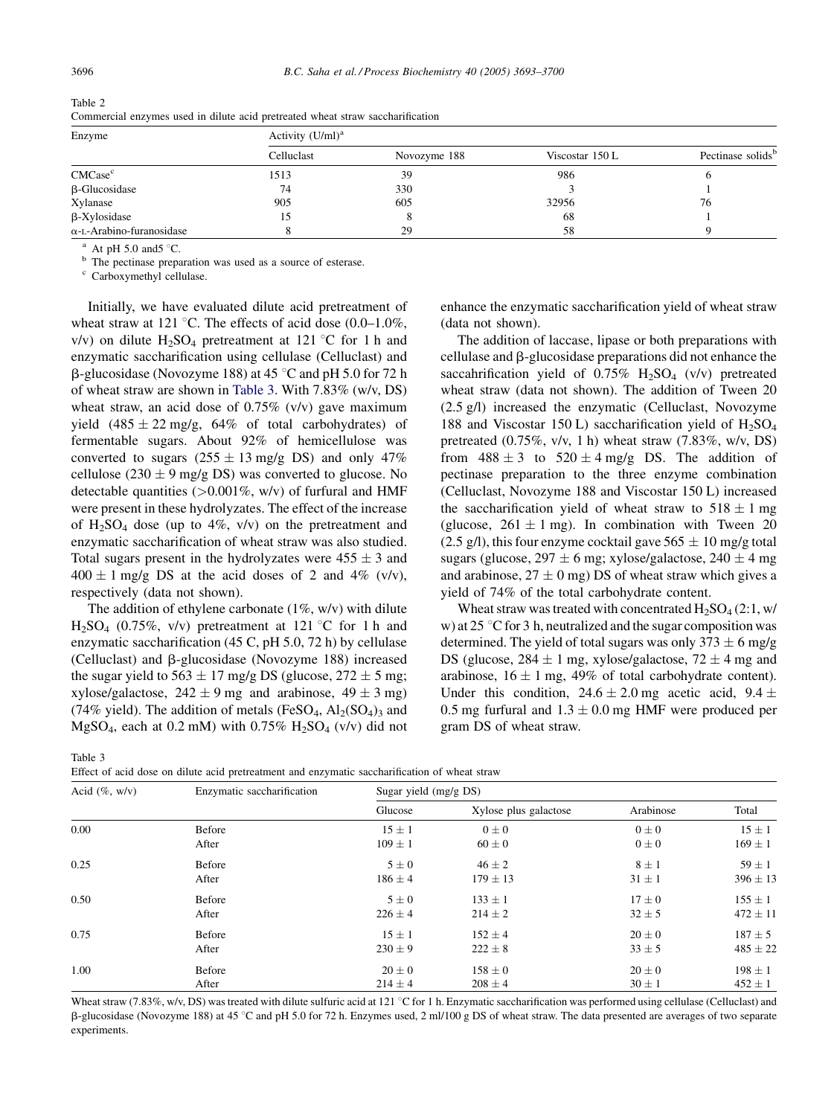| Enzyme                           | Activity $(U/ml)^a$ |              |                 |                               |  |
|----------------------------------|---------------------|--------------|-----------------|-------------------------------|--|
|                                  | Celluclast          | Novozyme 188 | Viscostar 150 L | Pectinase solids <sup>b</sup> |  |
| CMCase <sup>c</sup>              | 1513                | 39           | 986             |                               |  |
| $\beta$ -Glucosidase             | 74                  | 330          |                 |                               |  |
| Xylanase                         | 905                 | 605          | 32956           | 76                            |  |
| $\beta$ -Xylosidase              |                     |              | 68              |                               |  |
| $\alpha$ -L-Arabino-furanosidase |                     | 29           | 58              |                               |  |

<span id="page-3-0"></span>Table 2 Commercial enzymes used in dilute acid pretreated wheat straw saccharification

<sup>a</sup> At pH 5.0 and5  $^{\circ}$ C. b The pectinase preparation was used as a source of esterase.

<sup>c</sup> Carboxymethyl cellulase.

Initially, we have evaluated dilute acid pretreatment of wheat straw at 121 °C. The effects of acid dose  $(0.0-1.0\%$ , v/v) on dilute  $H_2SO_4$  pretreatment at 121 °C for 1 h and enzymatic saccharification using cellulase (Celluclast) and  $\beta$ -glucosidase (Novozyme 188) at 45 °C and pH 5.0 for 72 h of wheat straw are shown in Table 3. With 7.83% (w/v, DS) wheat straw, an acid dose of  $0.75\%$  (v/v) gave maximum yield  $(485 \pm 22 \text{ mg/g}, 64\% \text{ of total carbohydrate})$  of fermentable sugars. About 92% of hemicellulose was converted to sugars  $(255 \pm 13 \text{ mg/g DS})$  and only 47% cellulose (230  $\pm$  9 mg/g DS) was converted to glucose. No detectable quantities  $(>0.001\%, w/v)$  of furfural and HMF were present in these hydrolyzates. The effect of the increase of  $H_2SO_4$  dose (up to 4%, v/v) on the pretreatment and enzymatic saccharification of wheat straw was also studied. Total sugars present in the hydrolyzates were  $455 \pm 3$  and  $400 \pm 1$  mg/g DS at the acid doses of 2 and 4% (v/v), respectively (data not shown).

The addition of ethylene carbonate  $(1\%, w/v)$  with dilute  $H_2SO_4$  (0.75%, v/v) pretreatment at 121 °C for 1 h and enzymatic saccharification (45 C, pH 5.0, 72 h) by cellulase (Celluclast) and b-glucosidase (Novozyme 188) increased the sugar yield to 563  $\pm$  17 mg/g DS (glucose, 272  $\pm$  5 mg; xylose/galactose,  $242 \pm 9$  mg and arabinose,  $49 \pm 3$  mg) (74% yield). The addition of metals (FeSO<sub>4</sub>,  $Al<sub>2</sub>(SO<sub>4</sub>)<sub>3</sub>$  and MgSO<sub>4</sub>, each at 0.2 mM) with 0.75%  $H<sub>2</sub>SO<sub>4</sub>$  (v/v) did not

Table 3

|  | Effect of acid dose on dilute acid pretreatment and enzymatic saccharification of wheat straw |  |
|--|-----------------------------------------------------------------------------------------------|--|
|  |                                                                                               |  |

pectinase preparation to the three enzyme combination (Celluclast, Novozyme 188 and Viscostar 150 L) increased the saccharification yield of wheat straw to  $518 \pm 1$  mg (glucose,  $261 \pm 1$  mg). In combination with Tween 20 (2.5 g/l), this four enzyme cocktail gave  $565 \pm 10$  mg/g total sugars (glucose,  $297 \pm 6$  mg; xylose/galactose,  $240 \pm 4$  mg and arabinose,  $27 \pm 0$  mg) DS of wheat straw which gives a yield of 74% of the total carbohydrate content.

(data not shown).

Wheat straw was treated with concentrated  $H_2SO_4(2:1, w)$ w) at 25  $\degree$ C for 3 h, neutralized and the sugar composition was determined. The yield of total sugars was only  $373 \pm 6$  mg/g DS (glucose,  $284 \pm 1$  mg, xylose/galactose,  $72 \pm 4$  mg and arabinose,  $16 \pm 1$  mg, 49% of total carbohydrate content). Under this condition,  $24.6 \pm 2.0$  mg acetic acid,  $9.4 \pm$ 0.5 mg furfural and  $1.3 \pm 0.0$  mg HMF were produced per gram DS of wheat straw.

enhance the enzymatic saccharification yield of wheat straw

The addition of laccase, lipase or both preparations with cellulase and b-glucosidase preparations did not enhance the saccahrification yield of  $0.75\%$  H<sub>2</sub>SO<sub>4</sub> (v/v) pretreated wheat straw (data not shown). The addition of Tween 20 (2.5 g/l) increased the enzymatic (Celluclast, Novozyme 188 and Viscostar 150 L) saccharification yield of  $H_2SO_4$ pretreated (0.75%, v/v, 1 h) wheat straw (7.83%, w/v, DS) from  $488 \pm 3$  to  $520 \pm 4$  mg/g DS. The addition of

| Acid $(\%$ , w/v) | Enzymatic saccharification | Sugar yield $(mg/gDS)$           |              |            |              |  |
|-------------------|----------------------------|----------------------------------|--------------|------------|--------------|--|
|                   |                            | Xylose plus galactose<br>Glucose |              | Arabinose  | Total        |  |
| 0.00              | Before                     | $15 \pm 1$                       | $0\pm 0$     | $0\pm 0$   | $15 \pm 1$   |  |
|                   | After                      | $109 \pm 1$                      | $60\pm0$     | $0\pm 0$   | $169 \pm 1$  |  |
| 0.25              | Before                     | $5\pm0$                          | $46 \pm 2$   | $8 \pm 1$  | $59 \pm 1$   |  |
|                   | After                      | $186 \pm 4$                      | $179 \pm 13$ | $31 \pm 1$ | $396 \pm 13$ |  |
| 0.50              | Before                     | $5\pm0$                          | $133 \pm 1$  | $17 \pm 0$ | $155 \pm 1$  |  |
|                   | After                      | $226 \pm 4$                      | $214 \pm 2$  | $32 \pm 5$ | $472 \pm 11$ |  |
| 0.75              | Before                     | $15 \pm 1$                       | $152 \pm 4$  | $20 \pm 0$ | $187 \pm 5$  |  |
|                   | After                      | $230 \pm 9$                      | $222 \pm 8$  | $33 \pm 5$ | $485 \pm 22$ |  |
| 1.00              | Before                     | $20 \pm 0$                       | $158 \pm 0$  | $20 \pm 0$ | $198 \pm 1$  |  |
|                   | After                      | $214 \pm 4$                      | $208 \pm 4$  | $30 \pm 1$ | $452 \pm 1$  |  |

Wheat straw (7.83%, w/v, DS) was treated with dilute sulfuric acid at 121 °C for 1 h. Enzymatic saccharification was performed using cellulase (Celluclast) and  $B$ -glucosidase (Novozyme 188) at 45 °C and pH 5.0 for 72 h. Enzymes used, 2 ml/100 g DS of wheat straw. The data presented are averages of two separate experiments.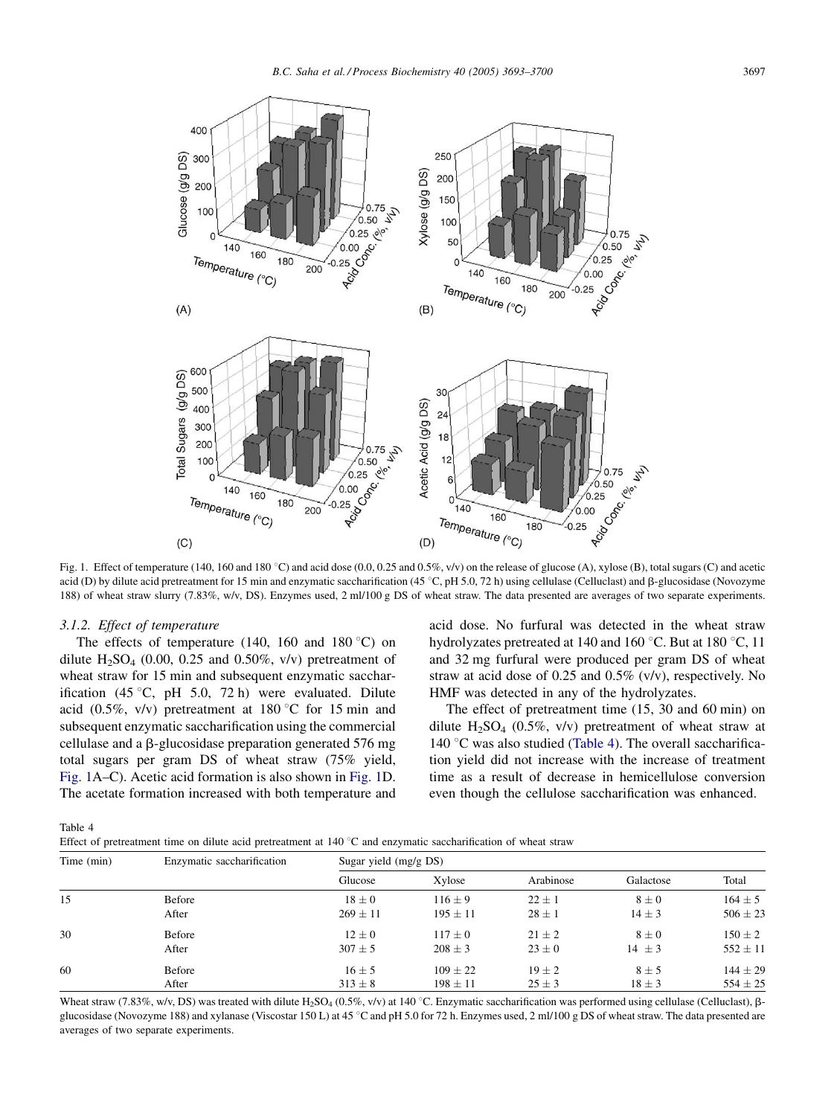<span id="page-4-0"></span>

Fig. 1. Effect of temperature (140, 160 and 180 °C) and acid dose (0.0, 0.25 and 0.5%,  $v/v$ ) on the release of glucose (A), xylose (B), total sugars (C) and acetic acid (D) by dilute acid pretreatment for 15 min and enzymatic saccharification (45 °C, pH 5.0, 72 h) using cellulase (Celluclast) and  $\beta$ -glucosidase (Novozyme 188) of wheat straw slurry (7.83%, w/v, DS). Enzymes used, 2 ml/100 g DS of wheat straw. The data presented are averages of two separate experiments.

#### 3.1.2. Effect of temperature

The effects of temperature (140, 160 and 180 $\degree$ C) on dilute  $H_2SO_4$  (0.00, 0.25 and 0.50%, v/v) pretreatment of wheat straw for 15 min and subsequent enzymatic saccharification (45 °C, pH 5.0, 72 h) were evaluated. Dilute acid (0.5%, v/v) pretreatment at 180 °C for 15 min and subsequent enzymatic saccharification using the commercial cellulase and a  $\beta$ -glucosidase preparation generated 576 mg total sugars per gram DS of wheat straw (75% yield, Fig. 1A–C). Acetic acid formation is also shown in Fig. 1D. The acetate formation increased with both temperature and acid dose. No furfural was detected in the wheat straw hydrolyzates pretreated at 140 and 160  $^{\circ}$ C. But at 180  $^{\circ}$ C, 11 and 32 mg furfural were produced per gram DS of wheat straw at acid dose of 0.25 and 0.5% (v/v), respectively. No HMF was detected in any of the hydrolyzates.

The effect of pretreatment time (15, 30 and 60 min) on dilute  $H_2SO_4$  (0.5%, v/v) pretreatment of wheat straw at 140  $\degree$ C was also studied (Table 4). The overall saccharification yield did not increase with the increase of treatment time as a result of decrease in hemicellulose conversion even though the cellulose saccharification was enhanced.

Table 4

| Effect of pretreatment time on dilute acid pretreatment at 140 $^{\circ}$ C and enzymatic saccharification of wheat straw |  |
|---------------------------------------------------------------------------------------------------------------------------|--|
|---------------------------------------------------------------------------------------------------------------------------|--|

| Time (min) | Enzymatic saccharification | Sugar yield $(mg/gDS)$ |              |            |            |              |  |
|------------|----------------------------|------------------------|--------------|------------|------------|--------------|--|
|            |                            | Glucose                | Xylose       | Arabinose  | Galactose  | Total        |  |
| 15         | Before                     | $18 \pm 0$             | $116 \pm 9$  | $22 \pm 1$ | $8\pm0$    | $164 \pm 5$  |  |
|            | After                      | $269 \pm 11$           | $195 \pm 11$ | $28 \pm 1$ | $14 \pm 3$ | $506 \pm 23$ |  |
| 30         | Before                     | $12 \pm 0$             | $117 \pm 0$  | $21 \pm 2$ | $8\pm0$    | $150 \pm 2$  |  |
|            | After                      | $307 \pm 5$            | $208 \pm 3$  | $23 \pm 0$ | $14 \pm 3$ | $552 \pm 11$ |  |
| 60         | Before                     | $16 \pm 5$             | $109 \pm 22$ | $19 \pm 2$ | $8 \pm 5$  | $144 \pm 29$ |  |
|            | After                      | $313 \pm 8$            | $198 \pm 11$ | $25 \pm 3$ | $18 \pm 3$ | $554 \pm 25$ |  |

Wheat straw (7.83%, w/v, DS) was treated with dilute H<sub>2</sub>SO<sub>4</sub> (0.5%, v/v) at 140 °C. Enzymatic saccharification was performed using cellulase (Celluclast),  $\beta$ glucosidase (Novozyme 188) and xylanase (Viscostar 150 L) at 45 °C and pH 5.0 for 72 h. Enzymes used, 2 ml/100 g DS of wheat straw. The data presented are averages of two separate experiments.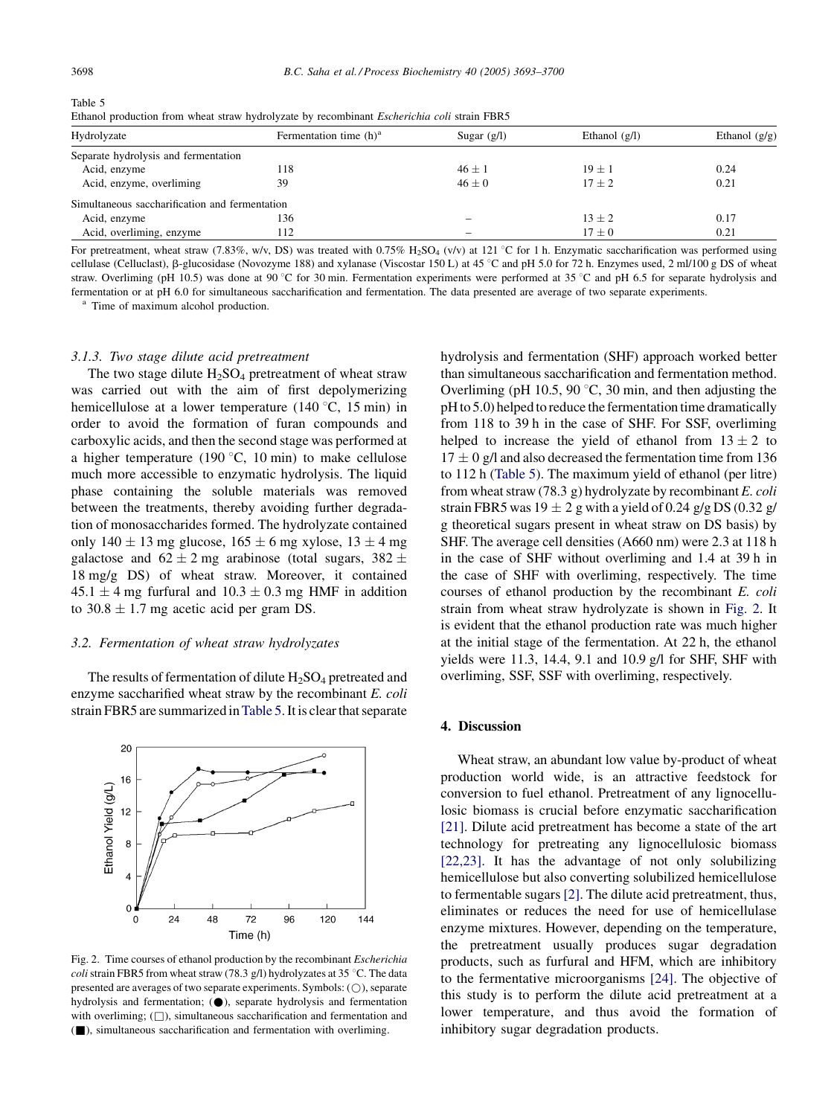<span id="page-5-0"></span>Table 5 Ethanol production from wheat straw hydrolyzate by recombinant Escherichia coli strain FBR5

| Hydrolyzate                                    | Fermentation time $(h)^a$ | Sugar $(g/l)$ | Ethanol $(g/l)$ | Ethanol $(g/g)$ |
|------------------------------------------------|---------------------------|---------------|-----------------|-----------------|
| Separate hydrolysis and fermentation           |                           |               |                 |                 |
| Acid, enzyme                                   | 118                       | $46 \pm 1$    | $19 + 1$        | 0.24            |
| Acid, enzyme, overliming                       | 39                        | $46 \pm 0$    | $17 + 2$        | 0.21            |
| Simultaneous saccharification and fermentation |                           |               |                 |                 |
| Acid, enzyme                                   | 136                       |               | $13 \pm 2$      | 0.17            |
| Acid, overliming, enzyme                       | 112                       |               | $17 \pm 0$      | 0.21            |

For pretreatment, wheat straw (7.83%, w/v, DS) was treated with  $0.75\%$  H<sub>2</sub>SO<sub>4</sub> (v/v) at 121 °C for 1 h. Enzymatic saccharification was performed using cellulase (Celluclast),  $\beta$ -glucosidase (Novozyme 188) and xylanase (Viscostar 150 L) at 45 °C and pH 5.0 for 72 h. Enzymes used, 2 ml/100 g DS of wheat straw. Overliming (pH 10.5) was done at 90 °C for 30 min. Fermentation experiments were performed at 35 °C and pH 6.5 for separate hydrolysis and fermentation or at pH 6.0 for simultaneous saccharification and fermentation. The data presented are average of two separate experiments.<br><sup>a</sup> Time of maximum alcohol production.

## 3.1.3. Two stage dilute acid pretreatment

The two stage dilute  $H_2SO_4$  pretreatment of wheat straw was carried out with the aim of first depolymerizing hemicellulose at a lower temperature (140 $\degree$ C, 15 min) in order to avoid the formation of furan compounds and carboxylic acids, and then the second stage was performed at a higher temperature (190 $\degree$ C, 10 min) to make cellulose much more accessible to enzymatic hydrolysis. The liquid phase containing the soluble materials was removed between the treatments, thereby avoiding further degradation of monosaccharides formed. The hydrolyzate contained only  $140 \pm 13$  mg glucose,  $165 \pm 6$  mg xylose,  $13 \pm 4$  mg galactose and  $62 \pm 2$  mg arabinose (total sugars,  $382 \pm$ 18 mg/g DS) of wheat straw. Moreover, it contained  $45.1 \pm 4$  mg furfural and  $10.3 \pm 0.3$  mg HMF in addition to  $30.8 \pm 1.7$  mg acetic acid per gram DS.

#### 3.2. Fermentation of wheat straw hydrolyzates

The results of fermentation of dilute  $H_2SO_4$  pretreated and enzyme saccharified wheat straw by the recombinant E. coli strain FBR5 are summarized inTable 5. It is clear that separate



Fig. 2. Time courses of ethanol production by the recombinant Escherichia coli strain FBR5 from wheat straw (78.3 g/l) hydrolyzates at 35 °C. The data presented are averages of two separate experiments. Symbols:  $( \bigcirc )$ , separate hydrolysis and fermentation;  $(①)$ , separate hydrolysis and fermentation with overliming;  $(\Box)$ , simultaneous saccharification and fermentation and (&), simultaneous saccharification and fermentation with overliming.

hydrolysis and fermentation (SHF) approach worked better than simultaneous saccharification and fermentation method. Overliming (pH 10.5, 90 $\degree$ C, 30 min, and then adjusting the pH to 5.0) helped to reduce the fermentation time dramatically from 118 to 39 h in the case of SHF. For SSF, overliming helped to increase the yield of ethanol from  $13 \pm 2$  to  $17 \pm 0$  g/l and also decreased the fermentation time from 136 to 112 h (Table 5). The maximum yield of ethanol (per litre) from wheat straw (78.3 g) hydrolyzate by recombinant E. coli strain FBR5 was  $19 \pm 2$  g with a yield of 0.24 g/g DS (0.32 g/ g theoretical sugars present in wheat straw on DS basis) by SHF. The average cell densities (A660 nm) were 2.3 at 118 h in the case of SHF without overliming and 1.4 at 39 h in the case of SHF with overliming, respectively. The time courses of ethanol production by the recombinant E. coli strain from wheat straw hydrolyzate is shown in Fig. 2. It is evident that the ethanol production rate was much higher at the initial stage of the fermentation. At 22 h, the ethanol yields were 11.3, 14.4, 9.1 and 10.9 g/l for SHF, SHF with overliming, SSF, SSF with overliming, respectively.

## 4. Discussion

Wheat straw, an abundant low value by-product of wheat production world wide, is an attractive feedstock for conversion to fuel ethanol. Pretreatment of any lignocellulosic biomass is crucial before enzymatic saccharification [\[21\]](#page-7-0). Dilute acid pretreatment has become a state of the art technology for pretreating any lignocellulosic biomass [\[22,23\].](#page-7-0) It has the advantage of not only solubilizing hemicellulose but also converting solubilized hemicellulose to fermentable sugars [\[2\].](#page-7-0) The dilute acid pretreatment, thus, eliminates or reduces the need for use of hemicellulase enzyme mixtures. However, depending on the temperature, the pretreatment usually produces sugar degradation products, such as furfural and HFM, which are inhibitory to the fermentative microorganisms [\[24\]](#page-7-0). The objective of this study is to perform the dilute acid pretreatment at a lower temperature, and thus avoid the formation of inhibitory sugar degradation products.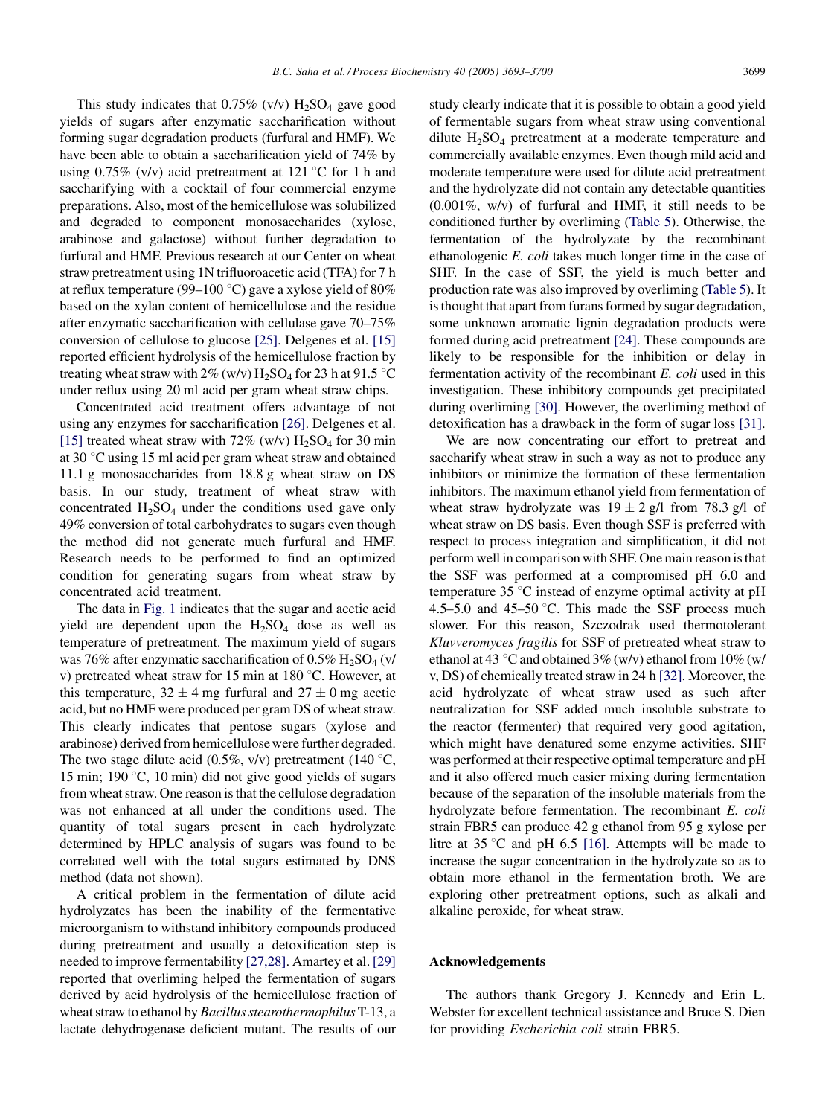This study indicates that  $0.75\%$  (v/v)  $H_2SO_4$  gave good yields of sugars after enzymatic saccharification without forming sugar degradation products (furfural and HMF). We have been able to obtain a saccharification yield of 74% by using 0.75% (v/v) acid pretreatment at 121 °C for 1 h and saccharifying with a cocktail of four commercial enzyme preparations. Also, most of the hemicellulose was solubilized and degraded to component monosaccharides (xylose, arabinose and galactose) without further degradation to furfural and HMF. Previous research at our Center on wheat straw pretreatment using 1N trifluoroacetic acid (TFA) for 7 h at reflux temperature (99–100  $^{\circ}$ C) gave a xylose yield of 80% based on the xylan content of hemicellulose and the residue after enzymatic saccharification with cellulase gave 70–75% conversion of cellulose to glucose [\[25\].](#page-7-0) Delgenes et al. [\[15\]](#page-7-0) reported efficient hydrolysis of the hemicellulose fraction by treating wheat straw with  $2\%$  (w/v) H<sub>2</sub>SO<sub>4</sub> for 23 h at 91.5 °C under reflux using 20 ml acid per gram wheat straw chips.

Concentrated acid treatment offers advantage of not using any enzymes for saccharification [\[26\]](#page-7-0). Delgenes et al. [\[15\]](#page-7-0) treated wheat straw with  $72\%$  (w/v)  $H_2SO_4$  for 30 min at 30 $\degree$ C using 15 ml acid per gram wheat straw and obtained 11.1 g monosaccharides from 18.8 g wheat straw on DS basis. In our study, treatment of wheat straw with concentrated  $H_2SO_4$  under the conditions used gave only 49% conversion of total carbohydrates to sugars even though the method did not generate much furfural and HMF. Research needs to be performed to find an optimized condition for generating sugars from wheat straw by concentrated acid treatment.

The data in [Fig. 1](#page-4-0) indicates that the sugar and acetic acid yield are dependent upon the  $H<sub>2</sub>SO<sub>4</sub>$  dose as well as temperature of pretreatment. The maximum yield of sugars was 76% after enzymatic saccharification of  $0.5\%$  H<sub>2</sub>SO<sub>4</sub> (v/ v) pretreated wheat straw for 15 min at 180  $^{\circ}$ C. However, at this temperature,  $32 \pm 4$  mg furfural and  $27 \pm 0$  mg acetic acid, but no HMF were produced per gram DS of wheat straw. This clearly indicates that pentose sugars (xylose and arabinose) derived from hemicellulose were further degraded. The two stage dilute acid (0.5%, v/v) pretreatment (140  $\degree$ C, 15 min; 190  $\degree$ C, 10 min) did not give good yields of sugars from wheat straw. One reason is that the cellulose degradation was not enhanced at all under the conditions used. The quantity of total sugars present in each hydrolyzate determined by HPLC analysis of sugars was found to be correlated well with the total sugars estimated by DNS method (data not shown).

A critical problem in the fermentation of dilute acid hydrolyzates has been the inability of the fermentative microorganism to withstand inhibitory compounds produced during pretreatment and usually a detoxification step is needed to improve fermentability [\[27,28\].](#page-7-0) Amartey et al. [\[29\]](#page-7-0) reported that overliming helped the fermentation of sugars derived by acid hydrolysis of the hemicellulose fraction of wheat straw to ethanol by Bacillus stearothermophilus T-13, a lactate dehydrogenase deficient mutant. The results of our study clearly indicate that it is possible to obtain a good yield of fermentable sugars from wheat straw using conventional dilute  $H_2SO_4$  pretreatment at a moderate temperature and commercially available enzymes. Even though mild acid and moderate temperature were used for dilute acid pretreatment and the hydrolyzate did not contain any detectable quantities (0.001%, w/v) of furfural and HMF, it still needs to be conditioned further by overliming ([Table 5\)](#page-5-0). Otherwise, the fermentation of the hydrolyzate by the recombinant ethanologenic E. coli takes much longer time in the case of SHF. In the case of SSF, the yield is much better and production rate was also improved by overliming [\(Table 5\)](#page-5-0). It is thought that apart from furans formed by sugar degradation, some unknown aromatic lignin degradation products were formed during acid pretreatment [\[24\]](#page-7-0). These compounds are likely to be responsible for the inhibition or delay in fermentation activity of the recombinant E. coli used in this investigation. These inhibitory compounds get precipitated during overliming [\[30\].](#page-7-0) However, the overliming method of detoxification has a drawback in the form of sugar loss [\[31\]](#page-7-0).

We are now concentrating our effort to pretreat and saccharify wheat straw in such a way as not to produce any inhibitors or minimize the formation of these fermentation inhibitors. The maximum ethanol yield from fermentation of wheat straw hydrolyzate was  $19 \pm 2$  g/l from 78.3 g/l of wheat straw on DS basis. Even though SSF is preferred with respect to process integration and simplification, it did not perform well in comparison with SHF. One main reason is that the SSF was performed at a compromised pH 6.0 and temperature  $35^{\circ}$ C instead of enzyme optimal activity at pH 4.5–5.0 and 45–50  $\degree$ C. This made the SSF process much slower. For this reason, Szczodrak used thermotolerant Kluvveromyces fragilis for SSF of pretreated wheat straw to ethanol at 43 °C and obtained  $3\%$  (w/v) ethanol from 10% (w/ v, DS) of chemically treated straw in 24 h [\[32\]](#page-7-0). Moreover, the acid hydrolyzate of wheat straw used as such after neutralization for SSF added much insoluble substrate to the reactor (fermenter) that required very good agitation, which might have denatured some enzyme activities. SHF was performed at their respective optimal temperature and pH and it also offered much easier mixing during fermentation because of the separation of the insoluble materials from the hydrolyzate before fermentation. The recombinant E. coli strain FBR5 can produce 42 g ethanol from 95 g xylose per litre at 35 °C and pH 6.5 [\[16\]](#page-7-0). Attempts will be made to increase the sugar concentration in the hydrolyzate so as to obtain more ethanol in the fermentation broth. We are exploring other pretreatment options, such as alkali and alkaline peroxide, for wheat straw.

#### Acknowledgements

The authors thank Gregory J. Kennedy and Erin L. Webster for excellent technical assistance and Bruce S. Dien for providing Escherichia coli strain FBR5.